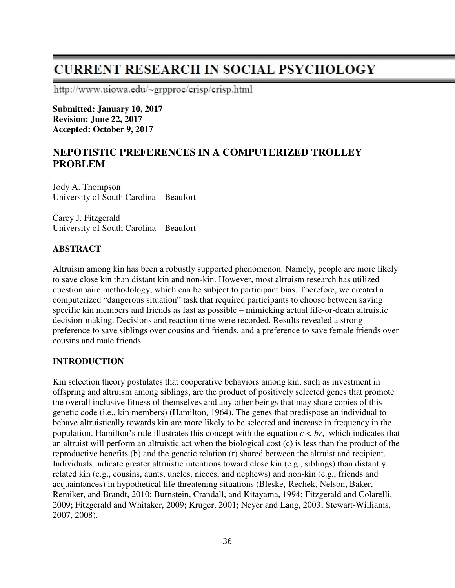# **CURRENT RESEARCH IN SOCIAL PSYCHOLOGY**

http://www.uiowa.edu/~grpproc/crisp/crisp.html

**Submitted: January 10, 2017 Revision: June 22, 2017 Accepted: October 9, 2017** 

# **NEPOTISTIC PREFERENCES IN A COMPUTERIZED TROLLEY PROBLEM**

Jody A. Thompson University of South Carolina – Beaufort

Carey J. Fitzgerald University of South Carolina – Beaufort

### **ABSTRACT**

Altruism among kin has been a robustly supported phenomenon. Namely, people are more likely to save close kin than distant kin and non-kin. However, most altruism research has utilized questionnaire methodology, which can be subject to participant bias. Therefore, we created a computerized "dangerous situation" task that required participants to choose between saving specific kin members and friends as fast as possible – mimicking actual life-or-death altruistic decision-making. Decisions and reaction time were recorded. Results revealed a strong preference to save siblings over cousins and friends, and a preference to save female friends over cousins and male friends.

#### **INTRODUCTION**

Kin selection theory postulates that cooperative behaviors among kin, such as investment in offspring and altruism among siblings, are the product of positively selected genes that promote the overall inclusive fitness of themselves and any other beings that may share copies of this genetic code (i.e., kin members) (Hamilton, 1964). The genes that predispose an individual to behave altruistically towards kin are more likely to be selected and increase in frequency in the population. Hamilton's rule illustrates this concept with the equation  $c < br$ , which indicates that an altruist will perform an altruistic act when the biological cost (c) is less than the product of the reproductive benefits (b) and the genetic relation (r) shared between the altruist and recipient. Individuals indicate greater altruistic intentions toward close kin (e.g., siblings) than distantly related kin (e.g., cousins, aunts, uncles, nieces, and nephews) and non-kin (e.g., friends and acquaintances) in hypothetical life threatening situations (Bleske,-Rechek, Nelson, Baker, Remiker, and Brandt, 2010; Burnstein, Crandall, and Kitayama, 1994; Fitzgerald and Colarelli, 2009; Fitzgerald and Whitaker, 2009; Kruger, 2001; Neyer and Lang, 2003; Stewart-Williams, 2007, 2008).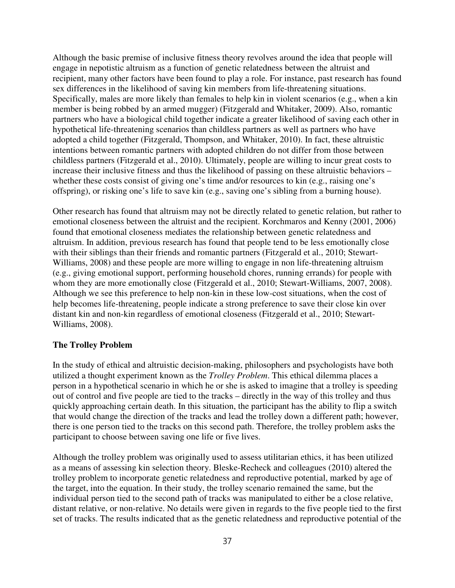Although the basic premise of inclusive fitness theory revolves around the idea that people will engage in nepotistic altruism as a function of genetic relatedness between the altruist and recipient, many other factors have been found to play a role. For instance, past research has found sex differences in the likelihood of saving kin members from life-threatening situations. Specifically, males are more likely than females to help kin in violent scenarios (e.g., when a kin member is being robbed by an armed mugger) (Fitzgerald and Whitaker, 2009). Also, romantic partners who have a biological child together indicate a greater likelihood of saving each other in hypothetical life-threatening scenarios than childless partners as well as partners who have adopted a child together (Fitzgerald, Thompson, and Whitaker, 2010). In fact, these altruistic intentions between romantic partners with adopted children do not differ from those between childless partners (Fitzgerald et al., 2010). Ultimately, people are willing to incur great costs to increase their inclusive fitness and thus the likelihood of passing on these altruistic behaviors – whether these costs consist of giving one's time and/or resources to kin (e.g., raising one's offspring), or risking one's life to save kin (e.g., saving one's sibling from a burning house).

Other research has found that altruism may not be directly related to genetic relation, but rather to emotional closeness between the altruist and the recipient. Korchmaros and Kenny (2001, 2006) found that emotional closeness mediates the relationship between genetic relatedness and altruism. In addition, previous research has found that people tend to be less emotionally close with their siblings than their friends and romantic partners (Fitzgerald et al., 2010; Stewart-Williams, 2008) and these people are more willing to engage in non life-threatening altruism (e.g., giving emotional support, performing household chores, running errands) for people with whom they are more emotionally close (Fitzgerald et al., 2010; Stewart-Williams, 2007, 2008). Although we see this preference to help non-kin in these low-cost situations, when the cost of help becomes life-threatening, people indicate a strong preference to save their close kin over distant kin and non-kin regardless of emotional closeness (Fitzgerald et al., 2010; Stewart-Williams, 2008).

#### **The Trolley Problem**

In the study of ethical and altruistic decision-making, philosophers and psychologists have both utilized a thought experiment known as the *Trolley Problem*. This ethical dilemma places a person in a hypothetical scenario in which he or she is asked to imagine that a trolley is speeding out of control and five people are tied to the tracks – directly in the way of this trolley and thus quickly approaching certain death. In this situation, the participant has the ability to flip a switch that would change the direction of the tracks and lead the trolley down a different path; however, there is one person tied to the tracks on this second path. Therefore, the trolley problem asks the participant to choose between saving one life or five lives.

Although the trolley problem was originally used to assess utilitarian ethics, it has been utilized as a means of assessing kin selection theory. Bleske-Recheck and colleagues (2010) altered the trolley problem to incorporate genetic relatedness and reproductive potential, marked by age of the target, into the equation. In their study, the trolley scenario remained the same, but the individual person tied to the second path of tracks was manipulated to either be a close relative, distant relative, or non-relative. No details were given in regards to the five people tied to the first set of tracks. The results indicated that as the genetic relatedness and reproductive potential of the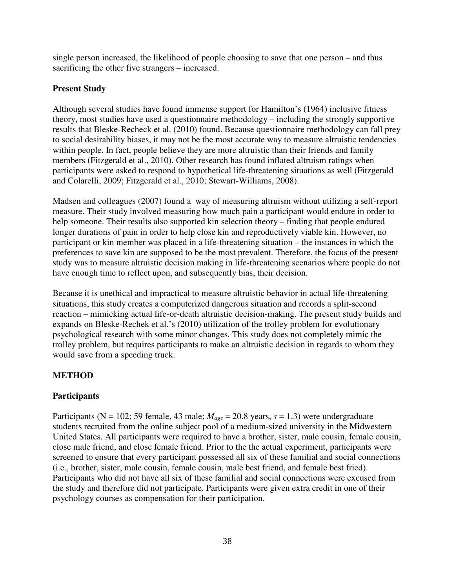single person increased, the likelihood of people choosing to save that one person – and thus sacrificing the other five strangers – increased.

## **Present Study**

Although several studies have found immense support for Hamilton's (1964) inclusive fitness theory, most studies have used a questionnaire methodology – including the strongly supportive results that Bleske-Recheck et al. (2010) found. Because questionnaire methodology can fall prey to social desirability biases, it may not be the most accurate way to measure altruistic tendencies within people. In fact, people believe they are more altruistic than their friends and family members (Fitzgerald et al., 2010). Other research has found inflated altruism ratings when participants were asked to respond to hypothetical life-threatening situations as well (Fitzgerald and Colarelli, 2009; Fitzgerald et al., 2010; Stewart-Williams, 2008).

Madsen and colleagues (2007) found a way of measuring altruism without utilizing a self-report measure. Their study involved measuring how much pain a participant would endure in order to help someone. Their results also supported kin selection theory – finding that people endured longer durations of pain in order to help close kin and reproductively viable kin. However, no participant or kin member was placed in a life-threatening situation – the instances in which the preferences to save kin are supposed to be the most prevalent. Therefore, the focus of the present study was to measure altruistic decision making in life-threatening scenarios where people do not have enough time to reflect upon, and subsequently bias, their decision.

Because it is unethical and impractical to measure altruistic behavior in actual life-threatening situations, this study creates a computerized dangerous situation and records a split-second reaction – mimicking actual life-or-death altruistic decision-making. The present study builds and expands on Bleske-Rechek et al.'s (2010) utilization of the trolley problem for evolutionary psychological research with some minor changes. This study does not completely mimic the trolley problem, but requires participants to make an altruistic decision in regards to whom they would save from a speeding truck.

# **METHOD**

## **Participants**

Participants (N = 102; 59 female, 43 male; *Mage* = 20.8 years, *s* = 1.3) were undergraduate students recruited from the online subject pool of a medium-sized university in the Midwestern United States. All participants were required to have a brother, sister, male cousin, female cousin, close male friend, and close female friend. Prior to the the actual experiment, participants were screened to ensure that every participant possessed all six of these familial and social connections (i.e., brother, sister, male cousin, female cousin, male best friend, and female best fried). Participants who did not have all six of these familial and social connections were excused from the study and therefore did not participate. Participants were given extra credit in one of their psychology courses as compensation for their participation.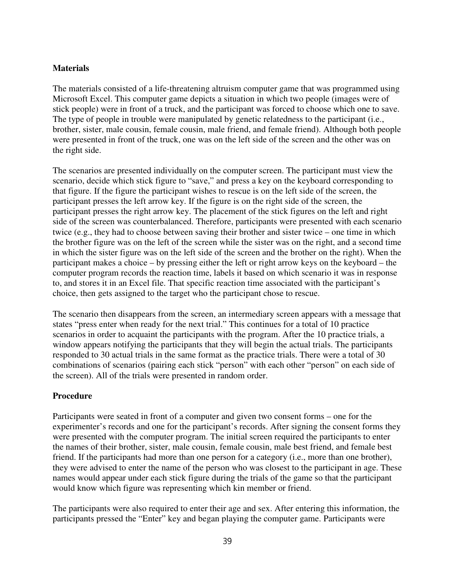#### **Materials**

The materials consisted of a life-threatening altruism computer game that was programmed using Microsoft Excel. This computer game depicts a situation in which two people (images were of stick people) were in front of a truck, and the participant was forced to choose which one to save. The type of people in trouble were manipulated by genetic relatedness to the participant (i.e., brother, sister, male cousin, female cousin, male friend, and female friend). Although both people were presented in front of the truck, one was on the left side of the screen and the other was on the right side.

The scenarios are presented individually on the computer screen. The participant must view the scenario, decide which stick figure to "save," and press a key on the keyboard corresponding to that figure. If the figure the participant wishes to rescue is on the left side of the screen, the participant presses the left arrow key. If the figure is on the right side of the screen, the participant presses the right arrow key. The placement of the stick figures on the left and right side of the screen was counterbalanced. Therefore, participants were presented with each scenario twice (e.g., they had to choose between saving their brother and sister twice – one time in which the brother figure was on the left of the screen while the sister was on the right, and a second time in which the sister figure was on the left side of the screen and the brother on the right). When the participant makes a choice – by pressing either the left or right arrow keys on the keyboard – the computer program records the reaction time, labels it based on which scenario it was in response to, and stores it in an Excel file. That specific reaction time associated with the participant's choice, then gets assigned to the target who the participant chose to rescue.

The scenario then disappears from the screen, an intermediary screen appears with a message that states "press enter when ready for the next trial." This continues for a total of 10 practice scenarios in order to acquaint the participants with the program. After the 10 practice trials, a window appears notifying the participants that they will begin the actual trials. The participants responded to 30 actual trials in the same format as the practice trials. There were a total of 30 combinations of scenarios (pairing each stick "person" with each other "person" on each side of the screen). All of the trials were presented in random order.

#### **Procedure**

Participants were seated in front of a computer and given two consent forms – one for the experimenter's records and one for the participant's records. After signing the consent forms they were presented with the computer program. The initial screen required the participants to enter the names of their brother, sister, male cousin, female cousin, male best friend, and female best friend. If the participants had more than one person for a category (i.e., more than one brother), they were advised to enter the name of the person who was closest to the participant in age. These names would appear under each stick figure during the trials of the game so that the participant would know which figure was representing which kin member or friend.

The participants were also required to enter their age and sex. After entering this information, the participants pressed the "Enter" key and began playing the computer game. Participants were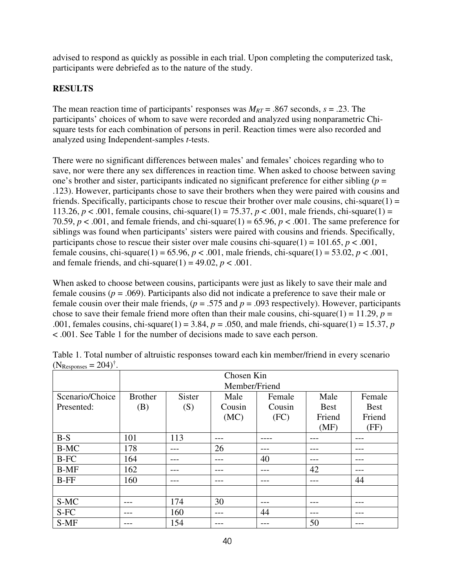advised to respond as quickly as possible in each trial. Upon completing the computerized task, participants were debriefed as to the nature of the study.

# **RESULTS**

The mean reaction time of participants' responses was  $M_{RT}$  = .867 seconds,  $s = .23$ . The participants' choices of whom to save were recorded and analyzed using nonparametric Chisquare tests for each combination of persons in peril. Reaction times were also recorded and analyzed using Independent-samples *t*-tests.

There were no significant differences between males' and females' choices regarding who to save, nor were there any sex differences in reaction time. When asked to choose between saving one's brother and sister, participants indicated no significant preference for either sibling  $(p =$ .123). However, participants chose to save their brothers when they were paired with cousins and friends. Specifically, participants chose to rescue their brother over male cousins, chi-square $(1)$  = 113.26,  $p < .001$ , female cousins, chi-square(1) = 75.37,  $p < .001$ , male friends, chi-square(1) = 70.59,  $p < .001$ , and female friends, and chi-square(1) = 65.96,  $p < .001$ . The same preference for siblings was found when participants' sisters were paired with cousins and friends. Specifically, participants chose to rescue their sister over male cousins chi-square(1) =  $101.65$ ,  $p < .001$ , female cousins, chi-square(1) = 65.96,  $p < .001$ , male friends, chi-square(1) = 53.02,  $p < .001$ , and female friends, and chi-square $(1) = 49.02$ ,  $p < .001$ .

When asked to choose between cousins, participants were just as likely to save their male and female cousins (*p* = .069). Participants also did not indicate a preference to save their male or female cousin over their male friends,  $(p = .575$  and  $p = .093$  respectively). However, participants chose to save their female friend more often than their male cousins, chi-square(1) =  $11.29$ ,  $p =$ .001, females cousins, chi-square(1) = 3.84,  $p = .050$ , and male friends, chi-square(1) = 15.37,  $p$ < .001. See Table 1 for the number of decisions made to save each person.

|                 | Chosen Kin     |               |                |        |             |             |  |
|-----------------|----------------|---------------|----------------|--------|-------------|-------------|--|
|                 | Member/Friend  |               |                |        |             |             |  |
| Scenario/Choice | <b>Brother</b> | <b>Sister</b> | Male<br>Female |        | Male        | Female      |  |
| Presented:      | (B)            | (S)           | Cousin         | Cousin | <b>Best</b> | <b>Best</b> |  |
|                 |                |               | (MC)           | (FC)   | Friend      | Friend      |  |
|                 |                |               |                |        | (MF)        | (FF)        |  |
| $B-S$           | 101            | 113           | ---            |        |             | ---         |  |
| <b>B-MC</b>     | 178            |               | 26             |        |             |             |  |
| B-FC            | 164            | ---           | ---            | 40     |             | ---         |  |
| $B-MF$          | 162            |               |                |        | 42          |             |  |
| $B-FF$          | 160            |               |                |        |             | 44          |  |
|                 |                |               |                |        |             |             |  |
| S-MC            |                | 174           | 30             |        |             |             |  |
| S-FC            |                | 160           |                | 44     |             |             |  |
| S-MF            |                | 154           |                |        | 50          |             |  |

Table 1. Total number of altruistic responses toward each kin member/friend in every scenario  $(N_{\text{Responses}} = 204)^{\dagger}$ .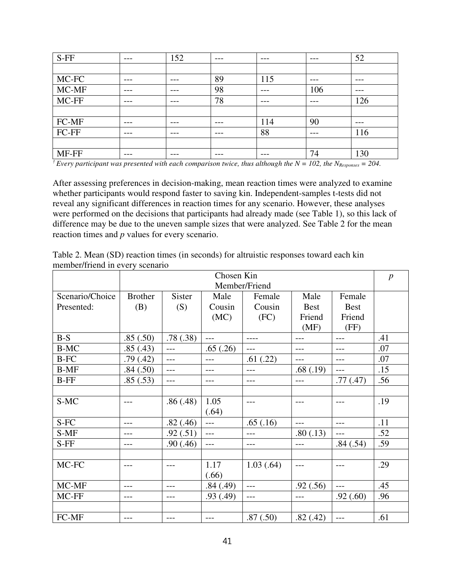| $S$ -FF | ---   | 152     | $---$   | $-- -$ | $- - -$ | 52  |
|---------|-------|---------|---------|--------|---------|-----|
|         |       |         |         |        |         |     |
| MC-FC   | ---   | $- - -$ | 89      | 115    | $---$   | --- |
| MC-MF   | ---   | ---     | 98      | ---    | 106     | --- |
| MC-FF   | $---$ | $---$   | 78      | $---$  | $---$   | 126 |
|         |       |         |         |        |         |     |
| FC-MF   | ---   | $- - -$ | $---$   | 114    | 90      | --- |
| FC-FF   | ---   | ---     | $- - -$ | 88     | --      | 116 |
|         |       |         |         |        |         |     |
| MF-FF   | ---   | $- - -$ | $- - -$ | ---    | 74      | 130 |

*† Every participant was presented with each comparison twice, thus although the N = 102, the NResponses = 204.* 

After assessing preferences in decision-making, mean reaction times were analyzed to examine whether participants would respond faster to saving kin. Independent-samples t-tests did not reveal any significant differences in reaction times for any scenario. However, these analyses were performed on the decisions that participants had already made (see Table 1), so this lack of difference may be due to the uneven sample sizes that were analyzed. See Table 2 for the mean reaction times and *p* values for every scenario.

| Table 2. Mean (SD) reaction times (in seconds) for altruistic responses toward each kin |  |
|-----------------------------------------------------------------------------------------|--|
| member/friend in every scenario                                                         |  |

|                 | Chosen Kin     |          |           |            |             |             | $\boldsymbol{p}$ |
|-----------------|----------------|----------|-----------|------------|-------------|-------------|------------------|
|                 | Member/Friend  |          |           |            |             |             |                  |
| Scenario/Choice | <b>Brother</b> | Sister   | Male      | Female     | Male        | Female      |                  |
| Presented:      | (B)            | (S)      | Cousin    | Cousin     | <b>Best</b> | <b>Best</b> |                  |
|                 |                |          | (MC)      | (FC)       | Friend      | Friend      |                  |
|                 |                |          |           |            | (MF)        | (FF)        |                  |
| $B-S$           | .85(.50)       | .78(.38) | $---$     |            |             |             | .41              |
| <b>B-MC</b>     | .85(.43)       | $---$    | .65(.26)  | ---        |             | ---         | .07              |
| $B-FC$          | .79(.42)       | $---$    | ---       | .61(.22)   |             | ---         | .07              |
| <b>B-MF</b>     | .84(.50)       | $---$    | $---$     | $---$      | .68(.19)    | ---         | .15              |
| <b>B-FF</b>     | .85(.53)       | $---$    | $---$     | $---$      | $---$       | .77(0.47)   | .56              |
|                 |                |          |           |            |             |             |                  |
| S-MC            | $---$          | .86(.48) | 1.05      | ---        | ---         | ---         | .19              |
|                 |                |          | (.64)     |            |             |             |                  |
| S-FC            | $---$          | .82(.46) | $---$     | .65(.16)   |             | ---         | .11              |
| S-MF            |                | .92(.51) | $---$     | ---        | .80(.13)    | ---         | .52              |
| S-FF            |                | .90(.46) | ---       | ---        | ---         | .84(.54)    | .59              |
|                 |                |          |           |            |             |             |                  |
| MC-FC           | $---$          | ---      | 1.17      | 1.03(0.64) | $---$       | ---         | .29              |
|                 |                |          | (.66)     |            |             |             |                  |
| MC-MF           | $---$          | $---$    | .84(.49)  | $---$      | .92(.56)    | $---$       | .45              |
| MC-FF           | $---$          | $---$    | .93(0.49) | $---$      | ---         | .92(.60)    | .96              |
|                 |                |          |           |            |             |             |                  |
| FC-MF           | $- - -$        |          | $---$     | .87(.50)   | .82(.42)    | ---         | .61              |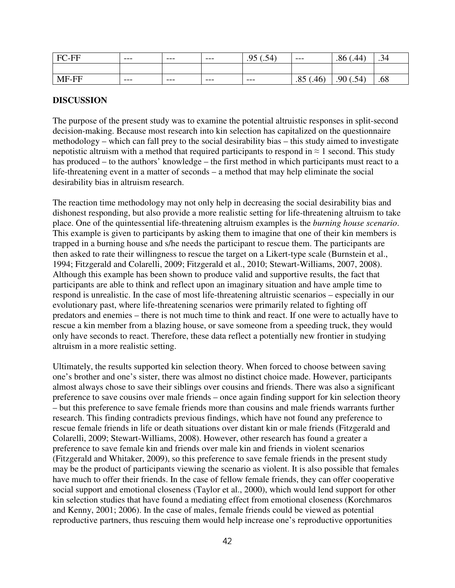| $\overline{\phantom{a}}$<br>Ηı<br>$\overline{\phantom{0}}$ | --- | $- - -$ | $- - -$ | ∩5<br>∼<br>∸<br>.<br>$\cdot$ | $---$           | ∩.<br>44<br>.8t    | 74<br>$\cdot$ |
|------------------------------------------------------------|-----|---------|---------|------------------------------|-----------------|--------------------|---------------|
|                                                            |     |         |         |                              |                 |                    |               |
| . .                                                        | --- | $- - -$ | $- - -$ | $---$                        | ╭<br>.40<br>ره. | Q<br>74<br>$\cdot$ | .68           |

#### **DISCUSSION**

The purpose of the present study was to examine the potential altruistic responses in split-second decision-making. Because most research into kin selection has capitalized on the questionnaire methodology – which can fall prey to the social desirability bias – this study aimed to investigate nepotistic altruism with a method that required participants to respond in  $\approx 1$  second. This study has produced – to the authors' knowledge – the first method in which participants must react to a life-threatening event in a matter of seconds – a method that may help eliminate the social desirability bias in altruism research.

The reaction time methodology may not only help in decreasing the social desirability bias and dishonest responding, but also provide a more realistic setting for life-threatening altruism to take place. One of the quintessential life-threatening altruism examples is the *burning house scenario*. This example is given to participants by asking them to imagine that one of their kin members is trapped in a burning house and s/he needs the participant to rescue them. The participants are then asked to rate their willingness to rescue the target on a Likert-type scale (Burnstein et al., 1994; Fitzgerald and Colarelli, 2009; Fitzgerald et al., 2010; Stewart-Williams, 2007, 2008). Although this example has been shown to produce valid and supportive results, the fact that participants are able to think and reflect upon an imaginary situation and have ample time to respond is unrealistic. In the case of most life-threatening altruistic scenarios – especially in our evolutionary past, where life-threatening scenarios were primarily related to fighting off predators and enemies – there is not much time to think and react. If one were to actually have to rescue a kin member from a blazing house, or save someone from a speeding truck, they would only have seconds to react. Therefore, these data reflect a potentially new frontier in studying altruism in a more realistic setting.

Ultimately, the results supported kin selection theory. When forced to choose between saving one's brother and one's sister, there was almost no distinct choice made. However, participants almost always chose to save their siblings over cousins and friends. There was also a significant preference to save cousins over male friends – once again finding support for kin selection theory – but this preference to save female friends more than cousins and male friends warrants further research. This finding contradicts previous findings, which have not found any preference to rescue female friends in life or death situations over distant kin or male friends (Fitzgerald and Colarelli, 2009; Stewart-Williams, 2008). However, other research has found a greater a preference to save female kin and friends over male kin and friends in violent scenarios (Fitzgerald and Whitaker, 2009), so this preference to save female friends in the present study may be the product of participants viewing the scenario as violent. It is also possible that females have much to offer their friends. In the case of fellow female friends, they can offer cooperative social support and emotional closeness (Taylor et al., 2000), which would lend support for other kin selection studies that have found a mediating effect from emotional closeness (Korchmaros and Kenny, 2001; 2006). In the case of males, female friends could be viewed as potential reproductive partners, thus rescuing them would help increase one's reproductive opportunities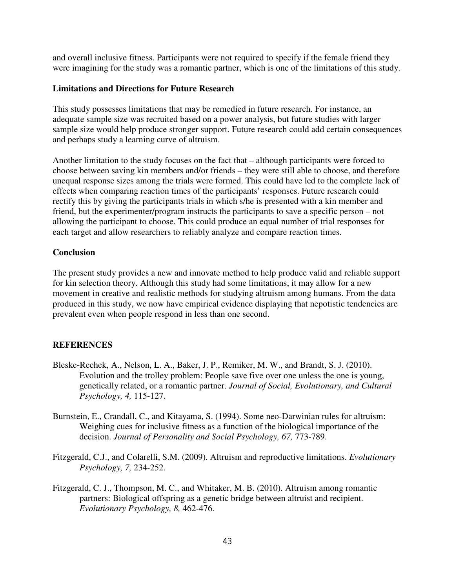and overall inclusive fitness. Participants were not required to specify if the female friend they were imagining for the study was a romantic partner, which is one of the limitations of this study.

#### **Limitations and Directions for Future Research**

This study possesses limitations that may be remedied in future research. For instance, an adequate sample size was recruited based on a power analysis, but future studies with larger sample size would help produce stronger support. Future research could add certain consequences and perhaps study a learning curve of altruism.

Another limitation to the study focuses on the fact that – although participants were forced to choose between saving kin members and/or friends – they were still able to choose, and therefore unequal response sizes among the trials were formed. This could have led to the complete lack of effects when comparing reaction times of the participants' responses. Future research could rectify this by giving the participants trials in which s/he is presented with a kin member and friend, but the experimenter/program instructs the participants to save a specific person – not allowing the participant to choose. This could produce an equal number of trial responses for each target and allow researchers to reliably analyze and compare reaction times.

#### **Conclusion**

The present study provides a new and innovate method to help produce valid and reliable support for kin selection theory. Although this study had some limitations, it may allow for a new movement in creative and realistic methods for studying altruism among humans. From the data produced in this study, we now have empirical evidence displaying that nepotistic tendencies are prevalent even when people respond in less than one second.

#### **REFERENCES**

- Bleske-Rechek, A., Nelson, L. A., Baker, J. P., Remiker, M. W., and Brandt, S. J. (2010). Evolution and the trolley problem: People save five over one unless the one is young, genetically related, or a romantic partner. *Journal of Social, Evolutionary, and Cultural Psychology, 4,* 115-127.
- Burnstein, E., Crandall, C., and Kitayama, S. (1994). Some neo-Darwinian rules for altruism: Weighing cues for inclusive fitness as a function of the biological importance of the decision. *Journal of Personality and Social Psychology, 67,* 773-789.
- Fitzgerald, C.J., and Colarelli, S.M. (2009). Altruism and reproductive limitations. *Evolutionary Psychology, 7,* 234-252.
- Fitzgerald, C. J., Thompson, M. C., and Whitaker, M. B. (2010). Altruism among romantic partners: Biological offspring as a genetic bridge between altruist and recipient. *Evolutionary Psychology, 8,* 462-476.